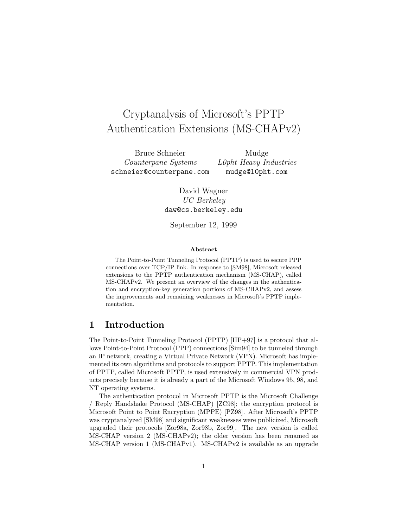# Cryptanalysis of Microsoft's PPTP Authentication Extensions (MS-CHAPv2)

Bruce Schneier Mudge Counterpane Systems L0pht Heavy Industries schneier@counterpane.com mudge@l0pht.com

David Wagner UC Berkeley daw@cs.berkeley.edu

September 12, 1999

#### Abstract

The Point-to-Point Tunneling Protocol (PPTP) is used to secure PPP connections over TCP/IP link. In response to [SM98], Microsoft released extensions to the PPTP authentication mechanism (MS-CHAP), called MS-CHAPv2. We present an overview of the changes in the authentication and encryption-key generation portions of MS-CHAPv2, and assess the improvements and remaining weaknesses in Microsoft's PPTP implementation.

### 1 Introduction

The Point-to-Point Tunneling Protocol (PPTP) [HP+97] is a protocol that allows Point-to-Point Protocol (PPP) connections [Sim94] to be tunneled through an IP network, creating a Virtual Private Network (VPN). Microsoft has implemented its own algorithms and protocols to support PPTP. This implementation of PPTP, called Microsoft PPTP, is used extensively in commercial VPN products precisely because it is already a part of the Microsoft Windows 95, 98, and NT operating systems.

The authentication protocol in Microsoft PPTP is the Microsoft Challenge / Reply Handshake Protocol (MS-CHAP) [ZC98]; the encryption protocol is Microsoft Point to Point Encryption (MPPE) [PZ98]. After Microsoft's PPTP was cryptanalyzed [SM98] and significant weaknesses were publicized, Microsoft upgraded their protocols [Zor98a, Zor98b, Zor99]. The new version is called MS-CHAP version 2 (MS-CHAPv2); the older version has been renamed as MS-CHAP version 1 (MS-CHAPv1). MS-CHAPv2 is available as an upgrade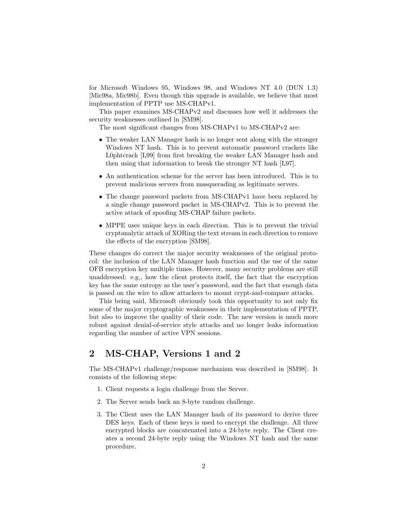for Microsoft Windows 95, Windows 98, and Windows NT 4.0 (DUN 1.3) [Mic98a, Mic98b]. Even though this upgrade is available, we believe that most implementation of PPTP use MS-CHAPv1.

This paper examines MS-CHAPv2 and discusses how well it addresses the security weaknesses outlined in [SM98].

The most significant changes from MS-CHAPv1 to MS-CHAPv2 are:

- The weaker LAN Manager hash is no longer sent along with the stronger Windows NT hash. This is to prevent automatic password crackers like L0phtcrack [L99] from first breaking the weaker LAN Manager hash and then using that information to break the stronger NT hash [L97].
- An authentication scheme for the server has been introduced. This is to prevent malicious servers from masquerading as legitimate servers.
- The change password packets from MS-CHAPv1 have been replaced by a single change password packet in MS-CHAPv2. This is to prevent the active attack of spoofing MS-CHAP failure packets.
- MPPE uses unique keys in each direction. This is to prevent the trivial cryptanalytic attack of XORing the text stream in each direction to remove the effects of the encryption [SM98].

These changes do correct the major security weaknesses of the original protocol: the inclusion of the LAN Manager hash function and the use of the same OFB encryption key multiple times. However, many security problems are still unaddressed: e.g., how the client protects itself, the fact that the encryption key has the same entropy as the user's password, and the fact that enough data is passed on the wire to allow attackers to mount crypt-and-compare attacks.

This being said, Microsoft obviously took this opportunity to not only fix some of the major cryptographic weaknesses in their implementation of PPTP, but also to improve the quality of their code. The new version is much more robust against denial-of-service style attacks and no longer leaks information regarding the number of active VPN sessions.

### 2 MS-CHAP, Versions 1 and 2

The MS-CHAPv1 challenge/response mechanism was described in [SM98]. It consists of the following steps:

- 1. Client requests a login challenge from the Server.
- 2. The Server sends back an 8-byte random challenge.
- 3. The Client uses the LAN Manager hash of its password to derive three DES keys. Each of these keys is used to encrypt the challenge. All three encrypted blocks are concatenated into a 24-byte reply. The Client creates a second 24-byte reply using the Windows NT hash and the same procedure.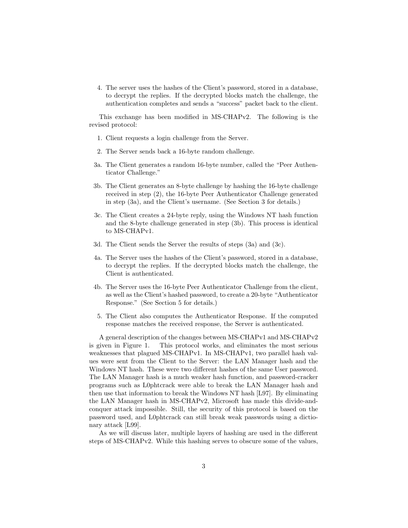4. The server uses the hashes of the Client's password, stored in a database, to decrypt the replies. If the decrypted blocks match the challenge, the authentication completes and sends a "success" packet back to the client.

This exchange has been modified in MS-CHAPv2. The following is the revised protocol:

- 1. Client requests a login challenge from the Server.
- 2. The Server sends back a 16-byte random challenge.
- 3a. The Client generates a random 16-byte number, called the "Peer Authenticator Challenge."
- 3b. The Client generates an 8-byte challenge by hashing the 16-byte challenge received in step (2), the 16-byte Peer Authenticator Challenge generated in step (3a), and the Client's username. (See Section 3 for details.)
- 3c. The Client creates a 24-byte reply, using the Windows NT hash function and the 8-byte challenge generated in step (3b). This process is identical to MS-CHAPv1.
- 3d. The Client sends the Server the results of steps (3a) and (3c).
- 4a. The Server uses the hashes of the Client's password, stored in a database, to decrypt the replies. If the decrypted blocks match the challenge, the Client is authenticated.
- 4b. The Server uses the 16-byte Peer Authenticator Challenge from the client, as well as the Client's hashed password, to create a 20-byte "Authenticator Response." (See Section 5 for details.)
- 5. The Client also computes the Authenticator Response. If the computed response matches the received response, the Server is authenticated.

A general description of the changes between MS-CHAPv1 and MS-CHAPv2 is given in Figure 1. This protocol works, and eliminates the most serious weaknesses that plagued MS-CHAPv1. In MS-CHAPv1, two parallel hash values were sent from the Client to the Server: the LAN Manager hash and the Windows NT hash. These were two different hashes of the same User password. The LAN Manager hash is a much weaker hash function, and password-cracker programs such as L0phtcrack were able to break the LAN Manager hash and then use that information to break the Windows NT hash [L97]. By eliminating the LAN Manager hash in MS-CHAPv2, Microsoft has made this divide-andconquer attack impossible. Still, the security of this protocol is based on the password used, and L0phtcrack can still break weak passwords using a dictionary attack [L99].

As we will discuss later, multiple layers of hashing are used in the different steps of MS-CHAPv2. While this hashing serves to obscure some of the values,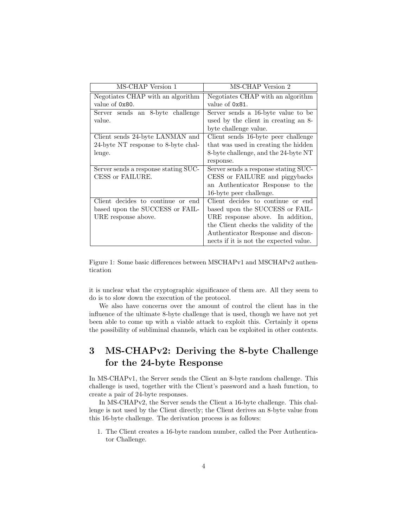| MS-CHAP Version 1                    | MS-CHAP Version 2                      |
|--------------------------------------|----------------------------------------|
| Negotiates CHAP with an algorithm    | Negotiates CHAP with an algorithm      |
| value of 0x80.                       | value of 0x81.                         |
| Server sends an 8-byte challenge     | Server sends a 16-byte value to be     |
| value.                               | used by the client in creating an 8-   |
|                                      | byte challenge value.                  |
| Client sends 24-byte LANMAN and      | Client sends 16-byte peer challenge    |
| 24-byte NT response to 8-byte chal-  | that was used in creating the hidden   |
| lenge.                               | 8-byte challenge, and the 24-byte NT   |
|                                      | response.                              |
| Server sends a response stating SUC- | Server sends a response stating SUC-   |
| CESS or FAILURE.                     | CESS or FAILURE and piggybacks         |
|                                      | an Authenticator Response to the       |
|                                      | 16-byte peer challenge.                |
| Client decides to continue or end    | Client decides to continue or end      |
| based upon the SUCCESS or FAIL-      | based upon the SUCCESS or FAIL-        |
| URE response above.                  | URE response above. In addition,       |
|                                      | the Client checks the validity of the  |
|                                      | Authenticator Response and discon-     |
|                                      | nects if it is not the expected value. |

Figure 1: Some basic differences between MSCHAPv1 and MSCHAPv2 authentication

it is unclear what the cryptographic significance of them are. All they seem to do is to slow down the execution of the protocol.

We also have concerns over the amount of control the client has in the influence of the ultimate 8-byte challenge that is used, though we have not yet been able to come up with a viable attack to exploit this. Certainly it opens the possibility of subliminal channels, which can be exploited in other contexts.

# 3 MS-CHAPv2: Deriving the 8-byte Challenge for the 24-byte Response

In MS-CHAPv1, the Server sends the Client an 8-byte random challenge. This challenge is used, together with the Client's password and a hash function, to create a pair of 24-byte responses.

In MS-CHAPv2, the Server sends the Client a 16-byte challenge. This challenge is not used by the Client directly; the Client derives an 8-byte value from this 16-byte challenge. The derivation process is as follows:

1. The Client creates a 16-byte random number, called the Peer Authenticator Challenge.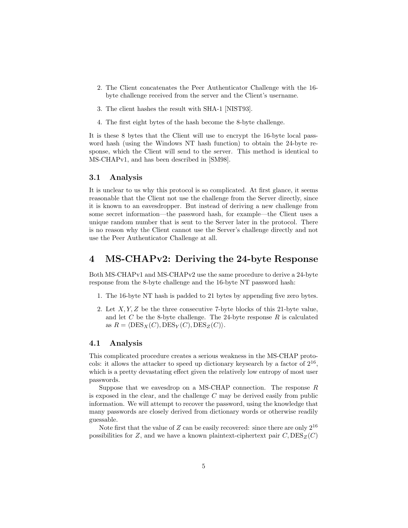- 2. The Client concatenates the Peer Authenticator Challenge with the 16 byte challenge received from the server and the Client's username.
- 3. The client hashes the result with SHA-1 [NIST93].
- 4. The first eight bytes of the hash become the 8-byte challenge.

It is these 8 bytes that the Client will use to encrypt the 16-byte local password hash (using the Windows NT hash function) to obtain the 24-byte response, which the Client will send to the server. This method is identical to MS-CHAPv1, and has been described in [SM98].

#### 3.1 Analysis

It is unclear to us why this protocol is so complicated. At first glance, it seems reasonable that the Client not use the challenge from the Server directly, since it is known to an eavesdropper. But instead of deriving a new challenge from some secret information—the password hash, for example—the Client uses a unique random number that is sent to the Server later in the protocol. There is no reason why the Client cannot use the Server's challenge directly and not use the Peer Authenticator Challenge at all.

### 4 MS-CHAPv2: Deriving the 24-byte Response

Both MS-CHAPv1 and MS-CHAPv2 use the same procedure to derive a 24-byte response from the 8-byte challenge and the 16-byte NT password hash:

- 1. The 16-byte NT hash is padded to 21 bytes by appending five zero bytes.
- 2. Let  $X, Y, Z$  be the three consecutive 7-byte blocks of this 21-byte value, and let  $C$  be the 8-byte challenge. The 24-byte response  $R$  is calculated as  $R = \langle \text{DES}_X(C), \text{DES}_Y(C), \text{DES}_Z(C) \rangle$ .

#### 4.1 Analysis

This complicated procedure creates a serious weakness in the MS-CHAP protocols: it allows the attacker to speed up dictionary keysearch by a factor of  $2^{16}$ , which is a pretty devastating effect given the relatively low entropy of most user passwords.

Suppose that we eavesdrop on a MS-CHAP connection. The response  $R$ is exposed in the clear, and the challenge  $C$  may be derived easily from public information. We will attempt to recover the password, using the knowledge that many passwords are closely derived from dictionary words or otherwise readily guessable.

Note first that the value of  $Z$  can be easily recovered: since there are only  $2^{16}$ possibilities for Z, and we have a known plaintext-ciphertext pair  $C, \text{DES}_Z(C)$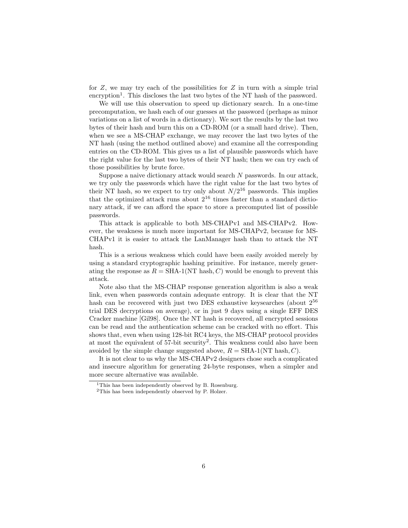for  $Z$ , we may try each of the possibilities for  $Z$  in turn with a simple trial encryption<sup>1</sup>. This discloses the last two bytes of the NT hash of the password.

We will use this observation to speed up dictionary search. In a one-time precomputation, we hash each of our guesses at the password (perhaps as minor variations on a list of words in a dictionary). We sort the results by the last two bytes of their hash and burn this on a CD-ROM (or a small hard drive). Then, when we see a MS-CHAP exchange, we may recover the last two bytes of the NT hash (using the method outlined above) and examine all the corresponding entries on the CD-ROM. This gives us a list of plausible passwords which have the right value for the last two bytes of their NT hash; then we can try each of those possibilities by brute force.

Suppose a naive dictionary attack would search  $N$  passwords. In our attack, we try only the passwords which have the right value for the last two bytes of their NT hash, so we expect to try only about  $N/2^{16}$  passwords. This implies that the optimized attack runs about  $2^{16}$  times faster than a standard dictionary attack, if we can afford the space to store a precomputed list of possible passwords.

This attack is applicable to both MS-CHAPv1 and MS-CHAPv2. However, the weakness is much more important for MS-CHAPv2, because for MS-CHAPv1 it is easier to attack the LanManager hash than to attack the NT hash.

This is a serious weakness which could have been easily avoided merely by using a standard cryptographic hashing primitive. For instance, merely generating the response as  $R = SHA-1(NT hash, C)$  would be enough to prevent this attack.

Note also that the MS-CHAP response generation algorithm is also a weak link, even when passwords contain adequate entropy. It is clear that the NT hash can be recovered with just two DES exhaustive keysearches (about 2<sup>56</sup> trial DES decryptions on average), or in just 9 days using a single EFF DES Cracker machine [Gil98]. Once the NT hash is recovered, all encrypted sessions can be read and the authentication scheme can be cracked with no effort. This shows that, even when using 128-bit RC4 keys, the MS-CHAP protocol provides at most the equivalent of 57-bit security<sup>2</sup>. This weakness could also have been avoided by the simple change suggested above,  $R = SHA-1(NT hash, C)$ .

It is not clear to us why the MS-CHAPv2 designers chose such a complicated and insecure algorithm for generating 24-byte responses, when a simpler and more secure alternative was available.

<sup>&</sup>lt;sup>1</sup>This has been independently observed by B. Rosenburg.

<sup>2</sup>This has been independently observed by P. Holzer.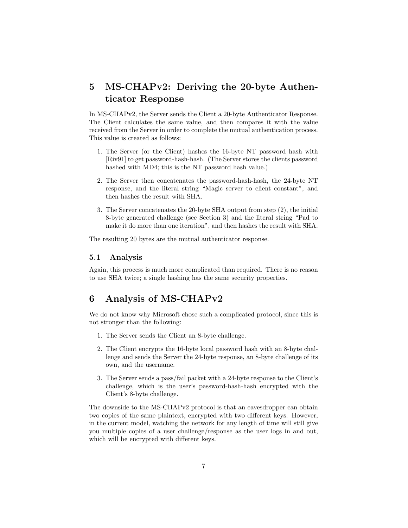## 5 MS-CHAPv2: Deriving the 20-byte Authenticator Response

In MS-CHAPv2, the Server sends the Client a 20-byte Authenticator Response. The Client calculates the same value, and then compares it with the value received from the Server in order to complete the mutual authentication process. This value is created as follows:

- 1. The Server (or the Client) hashes the 16-byte NT password hash with [Riv91] to get password-hash-hash. (The Server stores the clients password hashed with MD4; this is the NT password hash value.)
- 2. The Server then concatenates the password-hash-hash, the 24-byte NT response, and the literal string "Magic server to client constant", and then hashes the result with SHA.
- 3. The Server concatenates the 20-byte SHA output from step (2), the initial 8-byte generated challenge (see Section 3) and the literal string "Pad to make it do more than one iteration", and then hashes the result with SHA.

The resulting 20 bytes are the mutual authenticator response.

#### 5.1 Analysis

Again, this process is much more complicated than required. There is no reason to use SHA twice; a single hashing has the same security properties.

### 6 Analysis of MS-CHAPv2

We do not know why Microsoft chose such a complicated protocol, since this is not stronger than the following:

- 1. The Server sends the Client an 8-byte challenge.
- 2. The Client encrypts the 16-byte local password hash with an 8-byte challenge and sends the Server the 24-byte response, an 8-byte challenge of its own, and the username.
- 3. The Server sends a pass/fail packet with a 24-byte response to the Client's challenge, which is the user's password-hash-hash encrypted with the Client's 8-byte challenge.

The downside to the MS-CHAPv2 protocol is that an eavesdropper can obtain two copies of the same plaintext, encrypted with two different keys. However, in the current model, watching the network for any length of time will still give you multiple copies of a user challenge/response as the user logs in and out, which will be encrypted with different keys.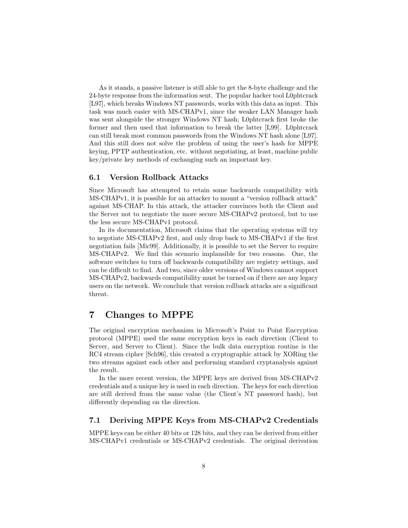As it stands, a passive listener is still able to get the 8-byte challenge and the 24-byte response from the information sent. The popular hacker tool L0phtcrack [L97], which breaks Windows NT passwords, works with this data as input. This task was much easier with MS-CHAPv1, since the weaker LAN Manager hash was sent alongside the stronger Windows NT hash; L0phtcrack first broke the former and then used that information to break the latter [L99]. L0phtcrack can still break most common passwords from the Windows NT hash alone [L97]. And this still does not solve the problem of using the user's hash for MPPE keying, PPTP authentication, etc. without negotiating, at least, machine public key/private key methods of exchanging such an important key.

#### 6.1 Version Rollback Attacks

Since Microsoft has attempted to retain some backwards compatibility with MS-CHAPv1, it is possible for an attacker to mount a "version rollback attack" against MS-CHAP. In this attack, the attacker convinces both the Client and the Server not to negotiate the more secure MS-CHAPv2 protocol, but to use the less secure MS-CHAPv1 protocol.

In its documentation, Microsoft claims that the operating systems will try to negotiate MS-CHAPv2 first, and only drop back to MS-CHAPv1 if the first negotiation fails [Mic99]. Additionally, it is possible to set the Server to require MS-CHAPv2. We find this scenario implausible for two reasons. One, the software switches to turn off backwards compatibility are registry settings, and can be difficult to find. And two, since older versions of Windows cannot support MS-CHAPv2, backwards compatibility must be turned on if there are any legacy users on the network. We conclude that version rollback attacks are a significant threat.

### 7 Changes to MPPE

The original encryption mechanism in Microsoft's Point to Point Encryption protocol (MPPE) used the same encryption keys in each direction (Client to Server, and Server to Client). Since the bulk data encryption routine is the RC4 stream cipher [Sch96], this created a cryptographic attack by XORing the two streams against each other and performing standard cryptanalysis against the result.

In the more recent version, the MPPE keys are derived from MS-CHAPv2 credentials and a unique key is used in each direction. The keys for each direction are still derived from the same value (the Client's NT password hash), but differently depending on the direction.

#### 7.1 Deriving MPPE Keys from MS-CHAPv2 Credentials

MPPE keys can be either 40 bits or 128 bits, and they can be derived from either MS-CHAPv1 credentials or MS-CHAPv2 credentials. The original derivation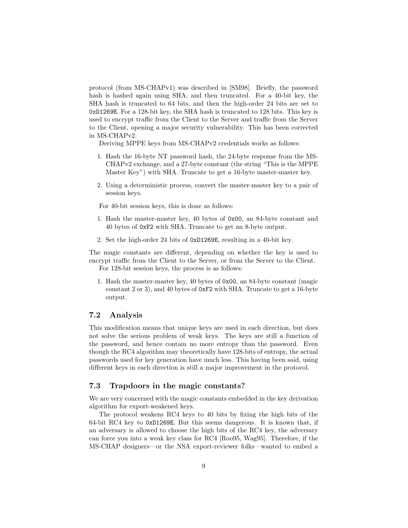protocol (from MS-CHAPv1) was described in [SM98]. Briefly, the password hash is hashed again using SHA, and then truncated. For a 40-bit key, the SHA hash is truncated to 64 bits, and then the high-order 24 bits are set to 0xD1269E. For a 128-bit key, the SHA hash is truncated to 128 bits. This key is used to encrypt traffic from the Client to the Server and traffic from the Server to the Client, opening a major security vulnerability. This has been corrected in MS-CHAPv2.

Deriving MPPE keys from MS-CHAPv2 credentials works as follows:

- 1. Hash the 16-byte NT password hash, the 24-byte response from the MS-CHAPv2 exchange, and a 27-byte constant (the string "This is the MPPE Master Key") with SHA. Truncate to get a 16-byte master-master key.
- 2. Using a deterministic process, convert the master-master key to a pair of session keys.

For 40-bit session keys, this is done as follows:

- 1. Hash the master-master key, 40 bytes of 0x00, an 84-byte constant and 40 bytes of 0xF2 with SHA. Truncate to get an 8-byte output.
- 2. Set the high-order 24 bits of 0xD1269E, resulting in a 40-bit key.

The magic constants are different, depending on whether the key is used to encrypt traffic from the Client to the Server, or from the Server to the Client. For 128-bit session keys, the process is as follows:

1. Hash the master-master key, 40 bytes of 0x00, an 84-byte constant (magic constant 2 or 3), and 40 bytes of 0xF2 with SHA. Truncate to get a 16-byte output.

#### 7.2 Analysis

This modification means that unique keys are used in each direction, but does not solve the serious problem of weak keys. The keys are still a function of the password, and hence contain no more entropy than the password. Even though the RC4 algorithm may theoretically have 128-bits of entropy, the actual passwords used for key generation have much less. This having been said, using different keys in each direction is still a major improvement in the protocol.

#### 7.3 Trapdoors in the magic constants?

We are very concerned with the magic constants embedded in the key derivation algorithm for export-weakened keys.

The protocol weakens RC4 keys to 40 bits by fixing the high bits of the 64-bit RC4 key to 0xD1269E. But this seems dangerous. It is known that, if an adversary is allowed to choose the high bits of the RC4 key, the adversary can force you into a weak key class for RC4 [Roo95, Wag95]. Therefore, if the MS-CHAP designers—or the NSA export-reviewer folks—wanted to embed a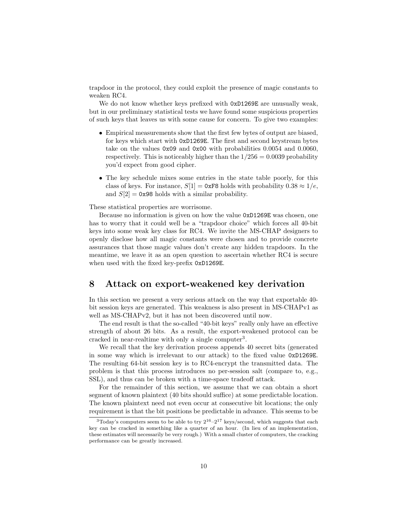trapdoor in the protocol, they could exploit the presence of magic constants to weaken RC4.

We do not know whether keys prefixed with  $0xD1269E$  are unusually weak, but in our preliminary statistical tests we have found some suspicious properties of such keys that leaves us with some cause for concern. To give two examples:

- Empirical measurements show that the first few bytes of output are biased, for keys which start with 0xD1269E. The first and second keystream bytes take on the values 0x09 and 0x00 with probabilities 0.0054 and 0.0060, respectively. This is noticeably higher than the  $1/256 = 0.0039$  probability you'd expect from good cipher.
- The key schedule mixes some entries in the state table poorly, for this class of keys. For instance,  $S[1] = 0$ xF8 holds with probability  $0.38 \approx 1/e$ , and  $S[2] = 0x98$  holds with a similar probability.

These statistical properties are worrisome.

Because no information is given on how the value 0xD1269E was chosen, one has to worry that it could well be a "trapdoor choice" which forces all 40-bit keys into some weak key class for RC4. We invite the MS-CHAP designers to openly disclose how all magic constants were chosen and to provide concrete assurances that those magic values don't create any hidden trapdoors. In the meantime, we leave it as an open question to ascertain whether RC4 is secure when used with the fixed key-prefix 0xD1269E.

### 8 Attack on export-weakened key derivation

In this section we present a very serious attack on the way that exportable 40 bit session keys are generated. This weakness is also present in MS-CHAPv1 as well as MS-CHAPv2, but it has not been discovered until now.

The end result is that the so-called "40-bit keys" really only have an effective strength of about 26 bits. As a result, the export-weakened protocol can be cracked in near-realtime with only a single computer<sup>3</sup>.

We recall that the key derivation process appends 40 secret bits (generated in some way which is irrelevant to our attack) to the fixed value 0xD1269E. The resulting 64-bit session key is to RC4-encrypt the transmitted data. The problem is that this process introduces no per-session salt (compare to, e.g., SSL), and thus can be broken with a time-space tradeoff attack.

For the remainder of this section, we assume that we can obtain a short segment of known plaintext (40 bits should suffice) at some predictable location. The known plaintext need not even occur at consecutive bit locations; the only requirement is that the bit positions be predictable in advance. This seems to be

 $3T$ oday's computers seem to be able to try  $2^{16}-2^{17}$  keys/second, which suggests that each key can be cracked in something like a quarter of an hour. (In lieu of an implementation, these estimates will necessarily be very rough.) With a small cluster of computers, the cracking performance can be greatly increased.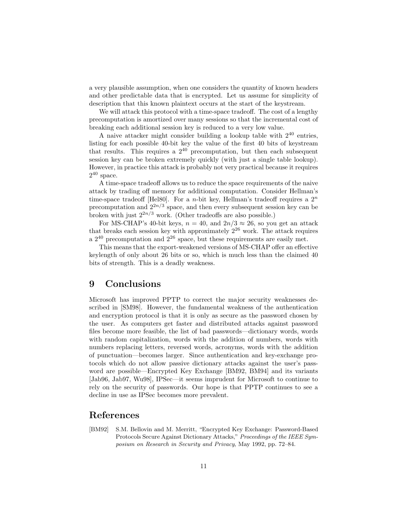a very plausible assumption, when one considers the quantity of known headers and other predictable data that is encrypted. Let us assume for simplicity of description that this known plaintext occurs at the start of the keystream.

We will attack this protocol with a time-space tradeoff. The cost of a lengthy precomputation is amortized over many sessions so that the incremental cost of breaking each additional session key is reduced to a very low value.

A naive attacker might consider building a lookup table with  $2^{40}$  entries, listing for each possible 40-bit key the value of the first 40 bits of keystream that results. This requires a  $2^{40}$  precomputation, but then each subsequent session key can be broken extremely quickly (with just a single table lookup). However, in practice this attack is probably not very practical because it requires  $2^{40}$  space.

A time-space tradeoff allows us to reduce the space requirements of the naive attack by trading off memory for additional computation. Consider Hellman's time-space tradeoff [Hel80]. For a n-bit key, Hellman's tradeoff requires a  $2^n$ precomputation and  $2^{2n/3}$  space, and then every subsequent session key can be broken with just  $2^{2n/3}$  work. (Other tradeoffs are also possible.)

For MS-CHAP's 40-bit keys,  $n = 40$ , and  $2n/3 \approx 26$ , so you get an attack that breaks each session key with approximately  $2^{26}$  work. The attack requires a  $2^{40}$  precomputation and  $2^{26}$  space, but these requirements are easily met.

This means that the export-weakened versions of MS-CHAP offer an effective keylength of only about 26 bits or so, which is much less than the claimed 40 bits of strength. This is a deadly weakness.

### 9 Conclusions

Microsoft has improved PPTP to correct the major security weaknesses described in [SM98]. However, the fundamental weakness of the authentication and encryption protocol is that it is only as secure as the password chosen by the user. As computers get faster and distributed attacks against password files become more feasible, the list of bad passwords—dictionary words, words with random capitalization, words with the addition of numbers, words with numbers replacing letters, reversed words, acronyms, words with the addition of punctuation—becomes larger. Since authentication and key-exchange protocols which do not allow passive dictionary attacks against the user's password are possible—Encrypted Key Exchange [BM92, BM94] and its variants [Jab96, Jab97, Wu98], IPSec—it seems imprudent for Microsoft to continue to rely on the security of passwords. Our hope is that PPTP continues to see a decline in use as IPSec becomes more prevalent.

### References

[BM92] S.M. Bellovin and M. Merritt, "Encrypted Key Exchange: Password-Based Protocols Secure Against Dictionary Attacks," Proceedings of the IEEE Symposium on Research in Security and Privacy, May 1992, pp. 72–84.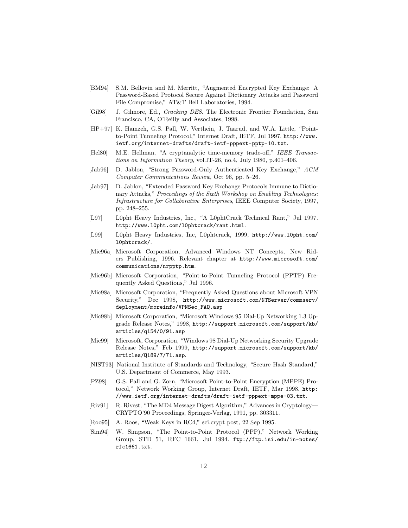- [BM94] S.M. Bellovin and M. Merritt, "Augmented Encrypted Key Exchange: A Password-Based Protocol Secure Against Dictionary Attacks and Password File Compromise," AT&T Bell Laboratories, 1994.
- [Gil98] J. Gilmore, Ed., Cracking DES. The Electronic Frontier Foundation, San Francisco, CA, O'Reilly and Associates, 1998.
- [HP+97] K. Hamzeh, G.S. Pall, W. Verthein, J. Taarud, and W.A. Little, "Pointto-Point Tunneling Protocol," Internet Draft, IETF, Jul 1997. http://www. ietf.org/internet-drafts/draft-ietf-pppext-pptp-10.txt.
- [Hel80] M.E. Hellman, "A cryptanalytic time-memory trade-off," IEEE Transactions on Information Theory, vol.IT-26, no.4, July 1980, p.401–406.
- [Jab96] D. Jablon, "Strong Password-Only Authenticated Key Exchange," ACM Computer Communications Review, Oct 96, pp. 5–26.
- [Jab97] D. Jablon, "Extended Password Key Exchange Protocols Immune to Dictionary Attacks," Proceedings of the Sixth Workshop on Enabling Technologies: Infrastructure for Collaborative Enterprises, IEEE Computer Society, 1997, pp. 248–255.
- [L97] L0pht Heavy Industries, Inc., "A L0phtCrack Technical Rant," Jul 1997. http://www.l0pht.com/l0phtcrack/rant.html.
- [L99] L0pht Heavy Industries, Inc, L0phtcrack, 1999, http://www.l0pht.com/ l0phtcrack/.
- [Mic96a] Microsoft Corporation, Advanced Windows NT Concepts, New Riders Publishing, 1996. Relevant chapter at http://www.microsoft.com/ communications/nrpptp.htm.
- [Mic96b] Microsoft Corporation, "Point-to-Point Tunneling Protocol (PPTP) Frequently Asked Questions," Jul 1996.
- [Mic98a] Microsoft Corporation, "Frequently Asked Questions about Microsoft VPN Security," Dec 1998, http://www.microsoft.com/NTServer/commserv/ deployment/moreinfo/VPNSec\_FAQ.asp
- [Mic98b] Microsoft Corporation, "Microsoft Windows 95 Dial-Up Networking 1.3 Upgrade Release Notes," 1998, http://support.microsoft.com/support/kb/ articles/q154/0/91.asp
- [Mic99] Microsoft, Corporation, "Windows 98 Dial-Up Networking Security Upgrade Release Notes," Feb 1999, http://support.microsoft.com/support/kb/ articles/Q189/7/71.asp.
- [NIST93] National Institute of Standards and Technology, "Secure Hash Standard," U.S. Department of Commerce, May 1993.
- [PZ98] G.S. Pall and G. Zorn, "Microsoft Point-to-Point Encryption (MPPE) Protocol," Network Working Group, Internet Draft, IETF, Mar 1998. http: //www.ietf.org/internet-drafts/draft-ietf-pppext-mppe-03.txt.
- [Riv91] R. Rivest, "The MD4 Message Digest Algorithm," Advances in Cryptology— CRYPTO'90 Proceedings, Springer-Verlag, 1991, pp. 303311.
- [Roo95] A. Roos, "Weak Keys in RC4," sci.crypt post, 22 Sep 1995.
- [Sim94] W. Simpson, "The Point-to-Point Protocol (PPP)," Network Working Group, STD 51, RFC 1661, Jul 1994. ftp://ftp.isi.edu/in-notes/ rfc1661.txt.